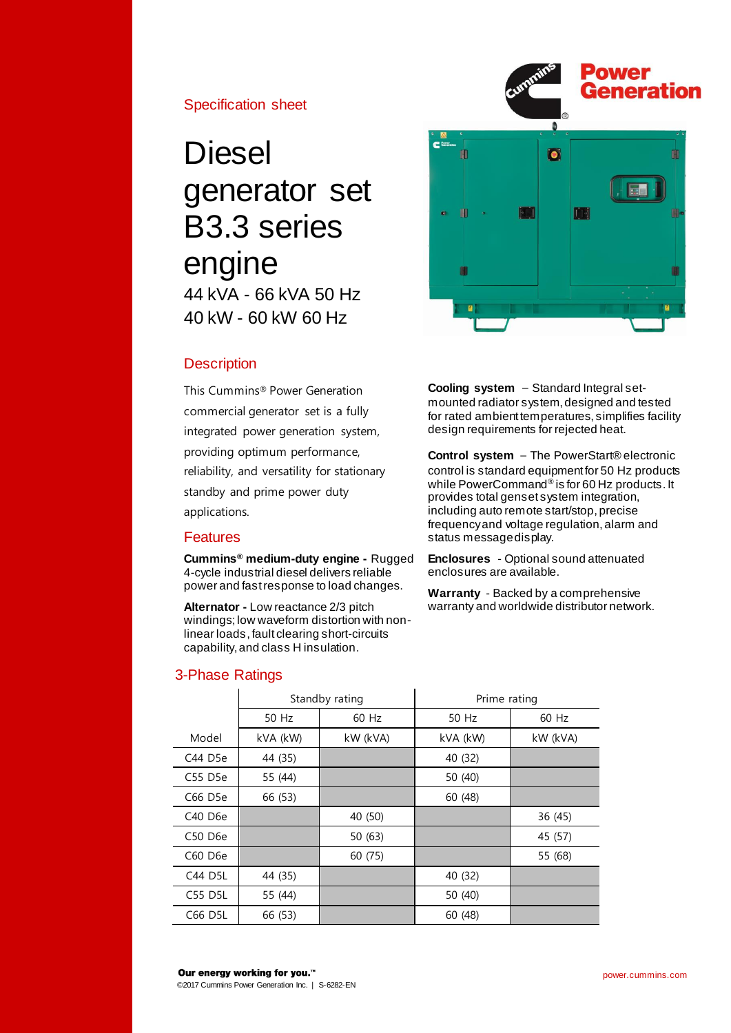## Specification sheet

# **Diesel** generator set B3.3 series engine 44 kVA - 66 kVA 50 Hz 40 kW - 60 kW 60 Hz

# **Description**

This Cummins® Power Generation commercial generator set is a fully integrated power generation system, providing optimum performance, reliability, and versatility for stationary standby and prime power duty applications.

## Features

**Cummins® medium-duty engine -** Rugged 4-cycle industrial diesel delivers reliable power and fast response to load changes.

**Alternator -** Low reactance 2/3 pitch windings; low waveform distortion with nonlinear loads,fault clearing short-circuits capability, and class H insulation.

# 3-Phase Ratings

**Cooling system** – Standard Integral setmounted radiator system, designed and tested for rated ambient temperatures, simplifies facility design requirements for rejected heat.

 $\overline{\bullet}$ 

ú

m

**Control system** – The PowerStart® electronic control is standard equipment for 50 Hz products while PowerCommand® is for 60 Hz products. It provides total genset system integration, including auto remote start/stop, precise frequency and voltage regulation, alarm and status message display.

**Enclosures** - Optional sound attenuated enclosures are available.

**Warranty** - Backed by a comprehensive warranty and worldwide distributor network.

|         | Standby rating |          | Prime rating |          |  |
|---------|----------------|----------|--------------|----------|--|
|         | 50 Hz          | 60 Hz    | 50 Hz        | 60 Hz    |  |
| Model   | kVA (kW)       | kW (kVA) | kVA (kW)     | kW (kVA) |  |
| C44 D5e | 44 (35)        |          | 40 (32)      |          |  |
| C55 D5e | 55 (44)        |          | 50 (40)      |          |  |
| C66 D5e | 66 (53)        |          | 60 (48)      |          |  |
| C40 D6e |                | 40 (50)  |              | 36 (45)  |  |
| C50 D6e |                | 50(63)   |              | 45 (57)  |  |
| C60 D6e |                | 60 (75)  |              | 55 (68)  |  |
| C44 D5L | 44 (35)        |          | 40 (32)      |          |  |
| C55 D5L | 55 (44)        |          | 50 (40)      |          |  |
| C66 D5L | 66 (53)        |          | 60 (48)      |          |  |



Generation

Ŵ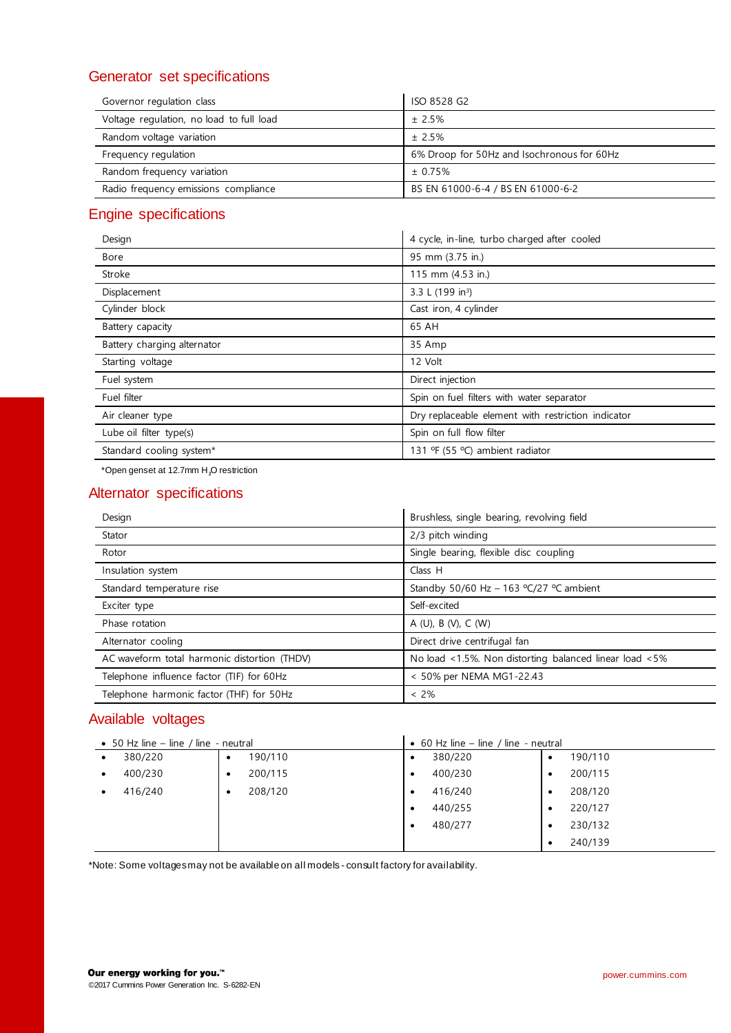# Generator set specifications

| Governor regulation class                | ISO 8528 G2                                |
|------------------------------------------|--------------------------------------------|
| Voltage regulation, no load to full load | ± 2.5%                                     |
| Random voltage variation                 | ± 2.5%                                     |
| Frequency regulation                     | 6% Droop for 50Hz and Isochronous for 60Hz |
| Random frequency variation               | ± 0.75%                                    |
| Radio frequency emissions compliance     | BS EN 61000-6-4 / BS EN 61000-6-2          |

# Engine specifications

| Design                      | 4 cycle, in-line, turbo charged after cooled       |
|-----------------------------|----------------------------------------------------|
| Bore                        | 95 mm (3.75 in.)                                   |
| Stroke                      | 115 mm (4.53 in.)                                  |
| Displacement                | 3.3 L (199 in <sup>3</sup> )                       |
| Cylinder block              | Cast iron, 4 cylinder                              |
| Battery capacity            | 65 AH                                              |
| Battery charging alternator | 35 Amp                                             |
| Starting voltage            | 12 Volt                                            |
| Fuel system                 | Direct injection                                   |
| Fuel filter                 | Spin on fuel filters with water separator          |
| Air cleaner type            | Dry replaceable element with restriction indicator |
| Lube oil filter type(s)     | Spin on full flow filter                           |
| Standard cooling system*    | 131 ºF (55 °C) ambient radiator                    |
|                             |                                                    |

\*Open genset at 12.7mm H₂O restriction

### Alternator specifications

| Design                                       | Brushless, single bearing, revolving field             |
|----------------------------------------------|--------------------------------------------------------|
| Stator                                       | 2/3 pitch winding                                      |
| Rotor                                        | Single bearing, flexible disc coupling                 |
| Insulation system                            | Class H                                                |
| Standard temperature rise                    | Standby 50/60 Hz - 163 $°C/27$ °C ambient              |
| Exciter type                                 | Self-excited                                           |
| Phase rotation                               | A (U), B (V), C (W)                                    |
| Alternator cooling                           | Direct drive centrifugal fan                           |
| AC waveform total harmonic distortion (THDV) | No load <1.5%. Non distorting balanced linear load <5% |
| Telephone influence factor (TIF) for 60Hz    | < 50% per NEMA MG1-22.43                               |
| Telephone harmonic factor (THF) for 50Hz     | $< 2\%$                                                |

# Available voltages

| • 50 Hz line – line / line - neutral |                      | • 60 Hz line – line / line - neutral |                      |
|--------------------------------------|----------------------|--------------------------------------|----------------------|
| 380/220<br>$\bullet$                 | 190/110<br>$\bullet$ | 380/220<br>$\bullet$                 | 190/110<br>$\bullet$ |
| 400/230<br>$\bullet$                 | 200/115<br>٠         | 400/230                              | 200/115<br>٠         |
| 416/240                              | 208/120<br>٠         | 416/240                              | 208/120<br>٠         |
|                                      |                      | 440/255<br>$\bullet$                 | 220/127<br>٠         |
|                                      |                      | 480/277<br>$\bullet$                 | 230/132<br>٠         |
|                                      |                      |                                      | 240/139<br>٠         |

\*Note: Some voltages may not be available on all models - consult factory for availability.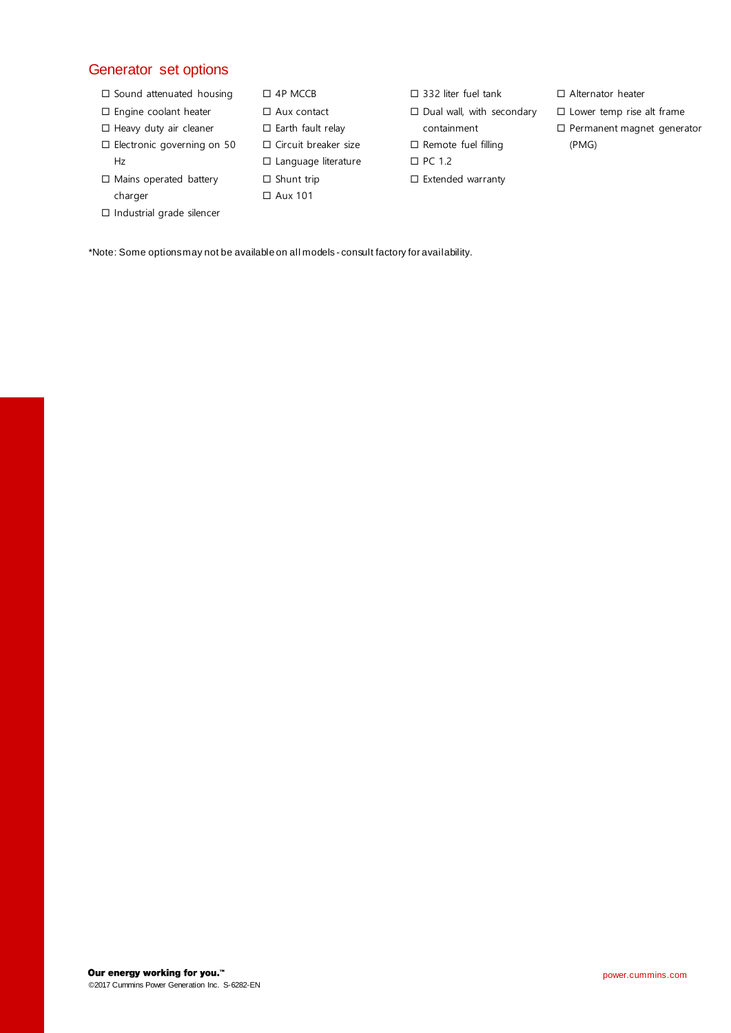# Generator set options

- $\square$  Sound attenuated housing
- □ Engine coolant heater
- $\Box$  Heavy duty air cleaner
- □ Electronic governing on 50 Hz
- $\Box$  Mains operated battery charger

Industrial grade silencer

 $\square$  Earth fault relay Circuit breaker size □ Language literature  $\square$  Shunt trip Aux 101

 4P MCCB □ Aux contact

- □ 332 liter fuel tank
- $\square$  Dual wall, with secondary
- containment
- $\square$  Remote fuel filling
- □ PC 1.2
- Extended warranty
- □ Alternator heater
- $\square$  Lower temp rise alt frame
- Permanent magnet generator (PMG)

\*Note: Some options may not be available on all models - consult factory for availability.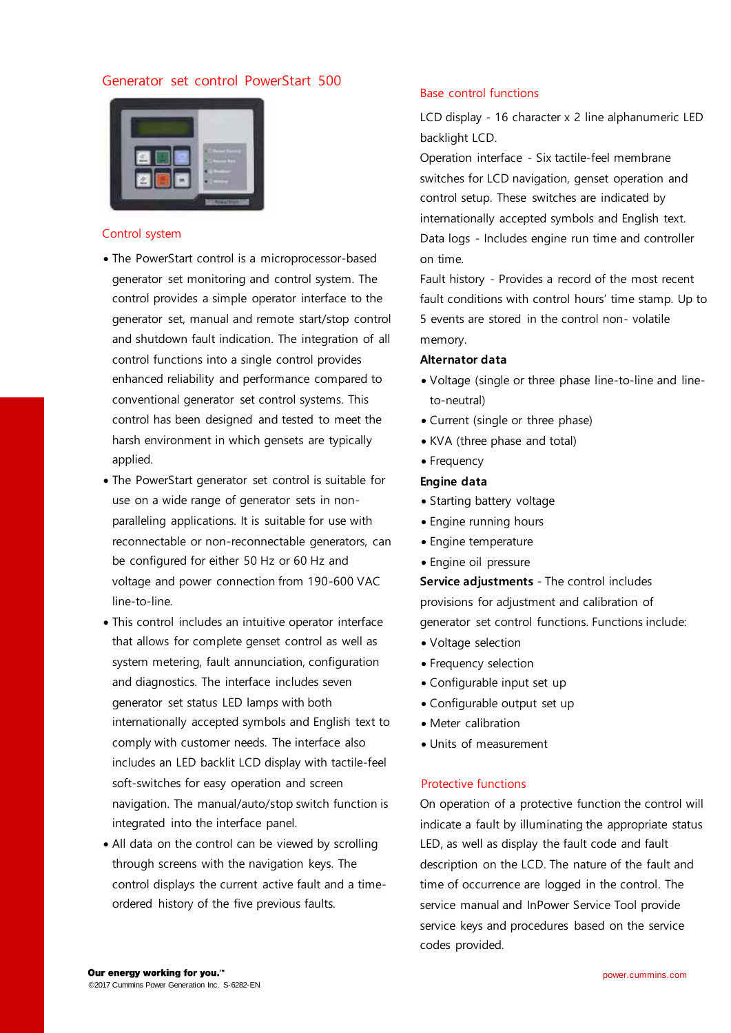### Generator set control PowerStart 500



#### Control system

- The PowerStart control is a microprocessor-based generator set monitoring and control system. The control provides a simple operator interface to the generator set, manual and remote start/stop control and shutdown fault indication. The integration of all control functions into a single control provides enhanced reliability and performance compared to conventional generator set control systems. This control has been designed and tested to meet the harsh environment in which gensets are typically applied.
- The PowerStart generator set control is suitable for use on a wide range of generator sets in nonparalleling applications. It is suitable for use with reconnectable or non-reconnectable generators, can be configured for either 50 Hz or 60 Hz and voltage and power connection from 190-600 VAC line-to-line.
- This control includes an intuitive operator interface that allows for complete genset control as well as system metering, fault annunciation, configuration and diagnostics. The interface includes seven generator set status LED lamps with both internationally accepted symbols and English text to comply with customer needs. The interface also includes an LED backlit LCD display with tactile-feel soft-switches for easy operation and screen navigation. The manual/auto/stop switch function is integrated into the interface panel.
- All data on the control can be viewed by scrolling through screens with the navigation keys. The control displays the current active fault and a timeordered history of the five previous faults.

#### Base control functions

LCD display - 16 character x 2 line alphanumeric LED backlight LCD.

Operation interface - Six tactile-feel membrane switches for LCD navigation, genset operation and control setup. These switches are indicated by internationally accepted symbols and English text. Data logs - Includes engine run time and controller on time.

Fault history - Provides a record of the most recent fault conditions with control hours' time stamp. Up to 5 events are stored in the control non- volatile memory.

#### **Alternator data**

- Voltage (single or three phase line-to-line and lineto-neutral)
- Current (single or three phase)
- KVA (three phase and total)
- Frequency

#### **Engine data**

- Starting battery voltage
- Engine running hours
- Engine temperature
- Engine oil pressure

**Service adjustments** - The control includes provisions for adjustment and calibration of generator set control functions. Functions include:

- Voltage selection
- Frequency selection
- Configurable input set up
- Configurable output set up
- Meter calibration
- Units of measurement

#### Protective functions

On operation of a protective function the control will indicate a fault by illuminating the appropriate status LED, as well as display the fault code and fault description on the LCD. The nature of the fault and time of occurrence are logged in the control. The service manual and InPower Service Tool provide service keys and procedures based on the service codes provided.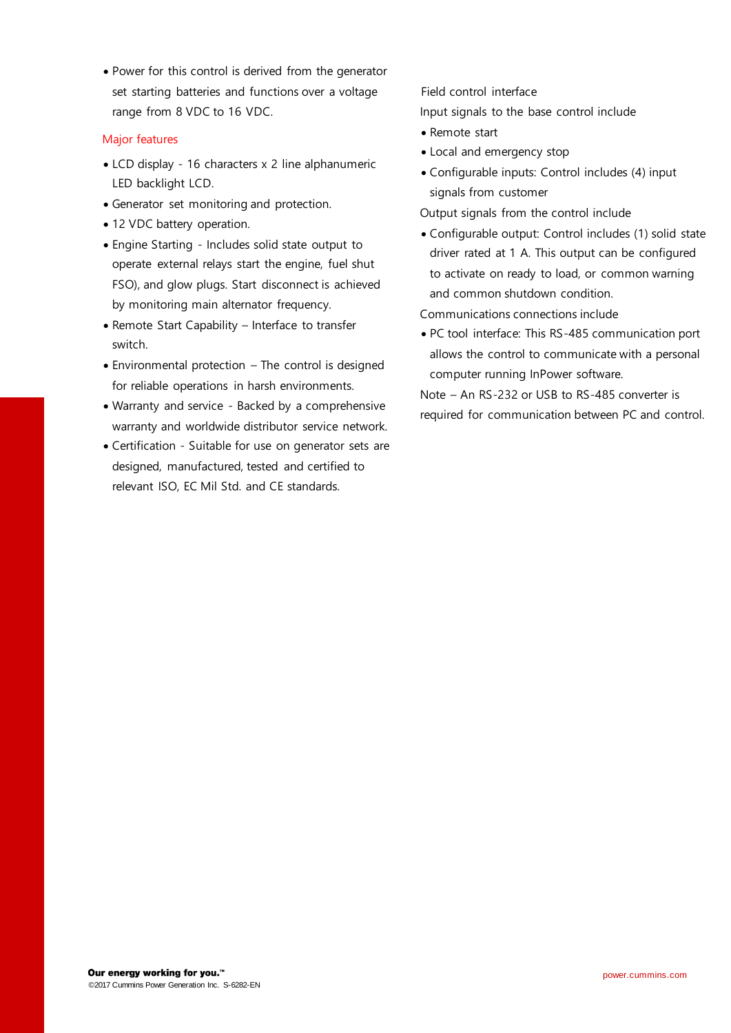Power for this control is derived from the generator set starting batteries and functions over a voltage range from 8 VDC to 16 VDC.

#### Major features

- LCD display 16 characters x 2 line alphanumeric LED backlight LCD.
- Generator set monitoring and protection.
- 12 VDC battery operation.
- Engine Starting Includes solid state output to operate external relays start the engine, fuel shut FSO), and glow plugs. Start disconnect is achieved by monitoring main alternator frequency.
- Remote Start Capability Interface to transfer switch.
- Environmental protection The control is designed for reliable operations in harsh environments.
- Warranty and service Backed by a comprehensive warranty and worldwide distributor service network.
- Certification Suitable for use on generator sets are designed, manufactured, tested and certified to relevant ISO, EC Mil Std. and CE standards.

Field control interface Input signals to the base control include

- Remote start
- Local and emergency stop
- Configurable inputs: Control includes (4) input signals from customer

Output signals from the control include

 Configurable output: Control includes (1) solid state driver rated at 1 A. This output can be configured to activate on ready to load, or common warning and common shutdown condition.

Communications connections include

 PC tool interface: This RS-485 communication port allows the control to communicate with a personal computer running InPower software.

Note – An RS-232 or USB to RS-485 converter is required for communication between PC and control.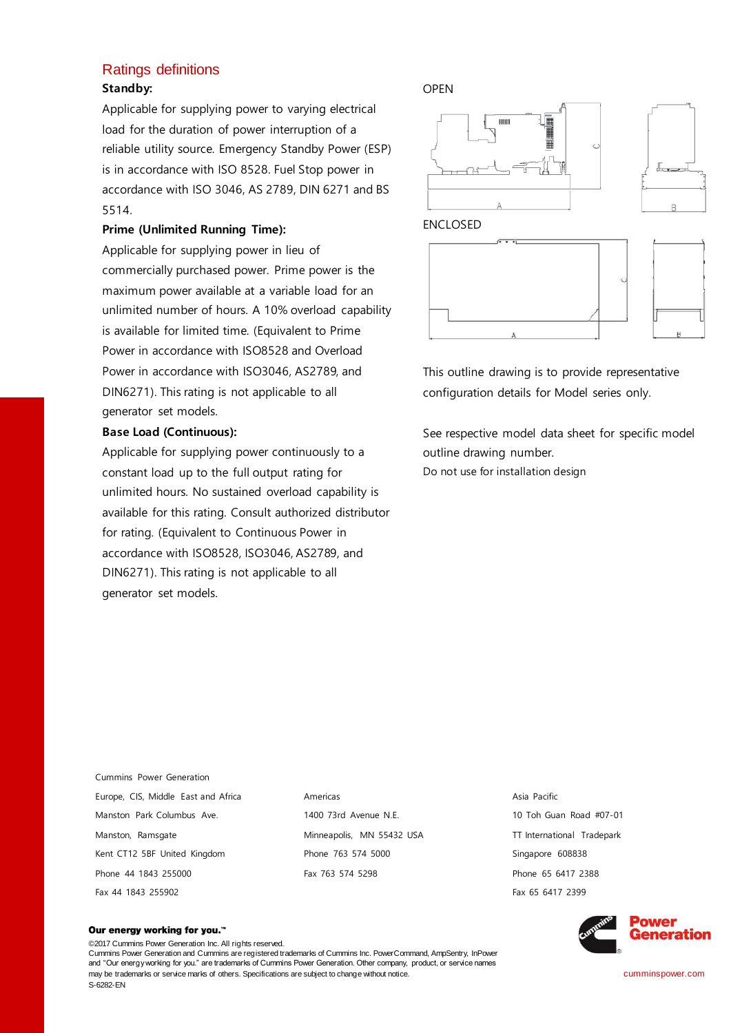### Ratings definitions **Standby:**

Applicable for supplying power to varying electrical load for the duration of power interruption of a reliable utility source. Emergency Standby Power (ESP) is in accordance with ISO 8528. Fuel Stop power in accordance with ISO 3046, AS 2789, DIN 6271 and BS 5514.

#### **Prime (Unlimited Running Time):**

Applicable for supplying power in lieu of commercially purchased power. Prime power is the maximum power available at a variable load for an unlimited number of hours. A 10% overload capability is available for limited time. (Equivalent to Prime Power in accordance with ISO8528 and Overload Power in accordance with ISO3046, AS2789, and DIN6271). This rating is not applicable to all generator set models.

#### **Base Load (Continuous):**

Applicable for supplying power continuously to a constant load up to the full output rating for unlimited hours. No sustained overload capability is available for this rating. Consult authorized distributor for rating. (Equivalent to Continuous Power in accordance with ISO8528, ISO3046, AS2789, and DIN6271). This rating is not applicable to all generator set models.

#### OPEN



This outline drawing is to provide representative configuration details for Model series only.

See respective model data sheet for specific model outline drawing number.

Do not use for installation design

Cummins Power Generation Europe, CIS, Middle East and Africa Manston Park Columbus Ave. Manston, Ramsgate Kent CT12 5BF United Kingdom Phone 44 1843 255000 Fax 44 1843 255902

Americas 1400 73rd Avenue N.E. Minneapolis, MN 55432 USA Phone 763 574 5000 Fax 763 574 5298

Asia Pacific 10 Toh Guan Road #07-01 TT International Tradepark Singapore 608838 Phone 65 6417 2388 Fax 65 6417 2399



#### Our energy working for you.™

©2017 Cummins Power Generation Inc. All rights reserved. Cummins Power Generation and Cummins are registered trademarks of Cummins Inc. PowerCommand, AmpSentry, InPower and "Our energy working for you." are trademarks of Cummins Power Generation. Other company, product, or service names may be trademarks or service marks of others. Specifications are subject to change without notice. S-6282-EN

cumminspower.com